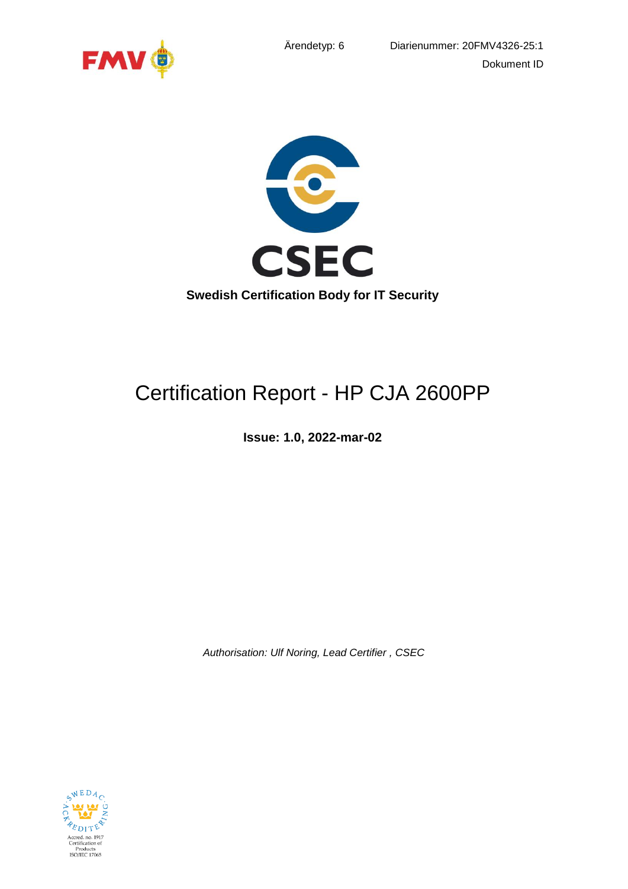

**FMV** ¢



# Certification Report - HP CJA 2600PP

**Issue: 1.0, 2022-mar-02**

*Authorisation: Ulf Noring, Lead Certifier , CSEC*

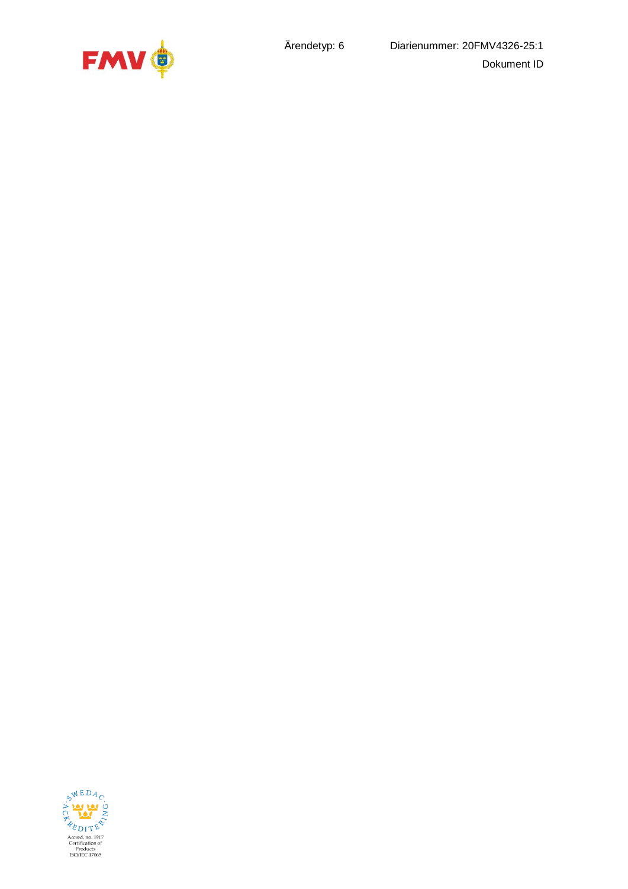

Dokument ID



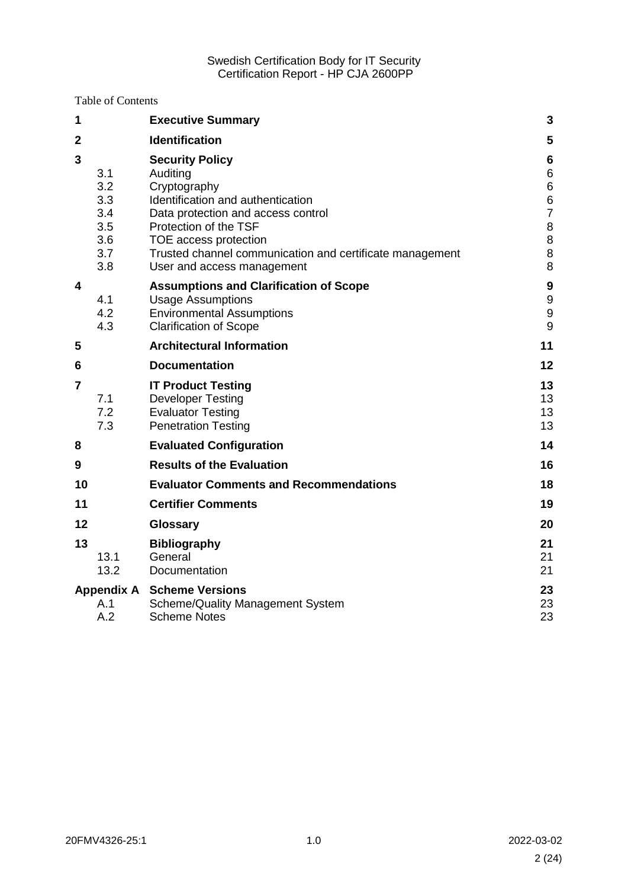Table of Contents

| 1              |                                                      | <b>Executive Summary</b>                                                                                                                                                                                                                                                  | 3                                                                              |
|----------------|------------------------------------------------------|---------------------------------------------------------------------------------------------------------------------------------------------------------------------------------------------------------------------------------------------------------------------------|--------------------------------------------------------------------------------|
| $\mathbf 2$    |                                                      | <b>Identification</b>                                                                                                                                                                                                                                                     | 5                                                                              |
| 3              | 3.1<br>3.2<br>3.3<br>3.4<br>3.5<br>3.6<br>3.7<br>3.8 | <b>Security Policy</b><br>Auditing<br>Cryptography<br>Identification and authentication<br>Data protection and access control<br>Protection of the TSF<br>TOE access protection<br>Trusted channel communication and certificate management<br>User and access management | 6<br>$\,6\,$<br>$\,6\,$<br>6<br>$\overline{7}$<br>$\bf 8$<br>$\bf 8$<br>8<br>8 |
| 4              | 4.1<br>4.2<br>4.3                                    | <b>Assumptions and Clarification of Scope</b><br><b>Usage Assumptions</b><br><b>Environmental Assumptions</b><br><b>Clarification of Scope</b>                                                                                                                            | $\boldsymbol{9}$<br>$\overline{9}$<br>9<br>9                                   |
| 5              |                                                      | <b>Architectural Information</b>                                                                                                                                                                                                                                          | 11                                                                             |
| 6              |                                                      | <b>Documentation</b>                                                                                                                                                                                                                                                      | 12                                                                             |
| $\overline{7}$ | 7.1<br>7.2<br>7.3                                    | <b>IT Product Testing</b><br><b>Developer Testing</b><br><b>Evaluator Testing</b><br><b>Penetration Testing</b>                                                                                                                                                           | 13<br>13<br>13<br>13                                                           |
| 8              |                                                      | <b>Evaluated Configuration</b>                                                                                                                                                                                                                                            | 14                                                                             |
| 9              |                                                      | <b>Results of the Evaluation</b>                                                                                                                                                                                                                                          | 16                                                                             |
| 10             |                                                      | <b>Evaluator Comments and Recommendations</b>                                                                                                                                                                                                                             | 18                                                                             |
| 11             |                                                      | <b>Certifier Comments</b>                                                                                                                                                                                                                                                 | 19                                                                             |
| 12             |                                                      | Glossary                                                                                                                                                                                                                                                                  | 20                                                                             |
| 13             | 13.1<br>13.2                                         | <b>Bibliography</b><br>General<br>Documentation                                                                                                                                                                                                                           | 21<br>21<br>21                                                                 |
|                | A.1<br>A.2                                           | <b>Appendix A Scheme Versions</b><br>Scheme/Quality Management System<br><b>Scheme Notes</b>                                                                                                                                                                              | 23<br>23<br>23                                                                 |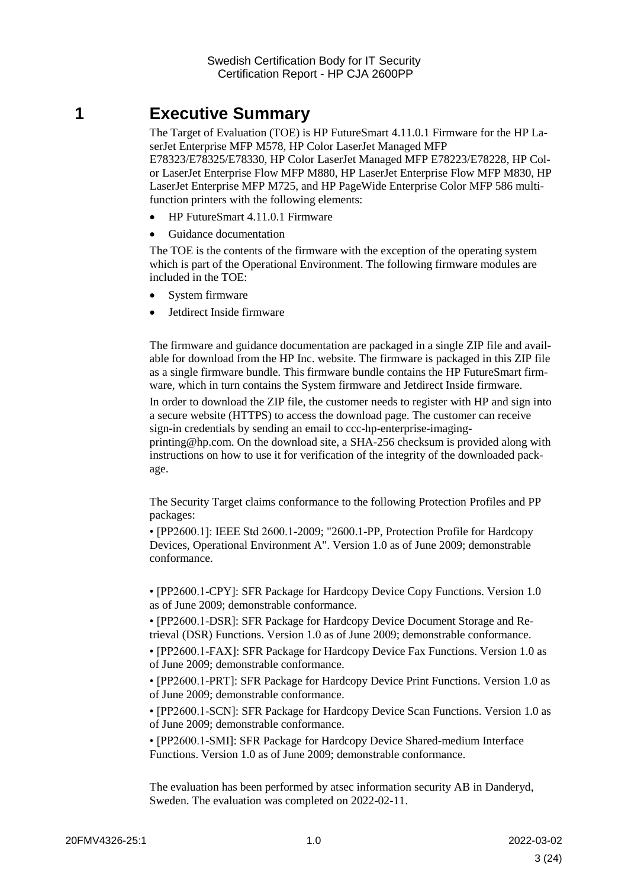## <span id="page-3-0"></span>**1 Executive Summary**

The Target of Evaluation (TOE) is HP FutureSmart 4.11.0.1 Firmware for the HP LaserJet Enterprise MFP M578, HP Color LaserJet Managed MFP

E78323/E78325/E78330, HP Color LaserJet Managed MFP E78223/E78228, HP Color LaserJet Enterprise Flow MFP M880, HP LaserJet Enterprise Flow MFP M830, HP LaserJet Enterprise MFP M725, and HP PageWide Enterprise Color MFP 586 multifunction printers with the following elements:

- HP FutureSmart 4.11.0.1 Firmware
- Guidance documentation

The TOE is the contents of the firmware with the exception of the operating system which is part of the Operational Environment. The following firmware modules are included in the TOE:

- System firmware
- Jetdirect Inside firmware

The firmware and guidance documentation are packaged in a single ZIP file and available for download from the HP Inc. website. The firmware is packaged in this ZIP file as a single firmware bundle. This firmware bundle contains the HP FutureSmart firmware, which in turn contains the System firmware and Jetdirect Inside firmware.

In order to download the ZIP file, the customer needs to register with HP and sign into a secure website (HTTPS) to access the download page. The customer can receive sign-in credentials by sending an email to ccc-hp-enterprise-imaging-

printing@hp.com. On the download site, a SHA-256 checksum is provided along with instructions on how to use it for verification of the integrity of the downloaded package.

The Security Target claims conformance to the following Protection Profiles and PP packages:

• [PP2600.1]: IEEE Std 2600.1-2009; "2600.1-PP, Protection Profile for Hardcopy Devices, Operational Environment A". Version 1.0 as of June 2009; demonstrable conformance.

• [PP2600.1-CPY]: SFR Package for Hardcopy Device Copy Functions. Version 1.0 as of June 2009; demonstrable conformance.

• [PP2600.1-DSR]: SFR Package for Hardcopy Device Document Storage and Retrieval (DSR) Functions. Version 1.0 as of June 2009; demonstrable conformance.

• [PP2600.1-FAX]: SFR Package for Hardcopy Device Fax Functions. Version 1.0 as of June 2009; demonstrable conformance.

• [PP2600.1-PRT]: SFR Package for Hardcopy Device Print Functions. Version 1.0 as of June 2009; demonstrable conformance.

• [PP2600.1-SCN]: SFR Package for Hardcopy Device Scan Functions. Version 1.0 as of June 2009; demonstrable conformance.

• [PP2600.1-SMI]: SFR Package for Hardcopy Device Shared-medium Interface Functions. Version 1.0 as of June 2009; demonstrable conformance.

The evaluation has been performed by atsec information security AB in Danderyd, Sweden. The evaluation was completed on 2022-02-11.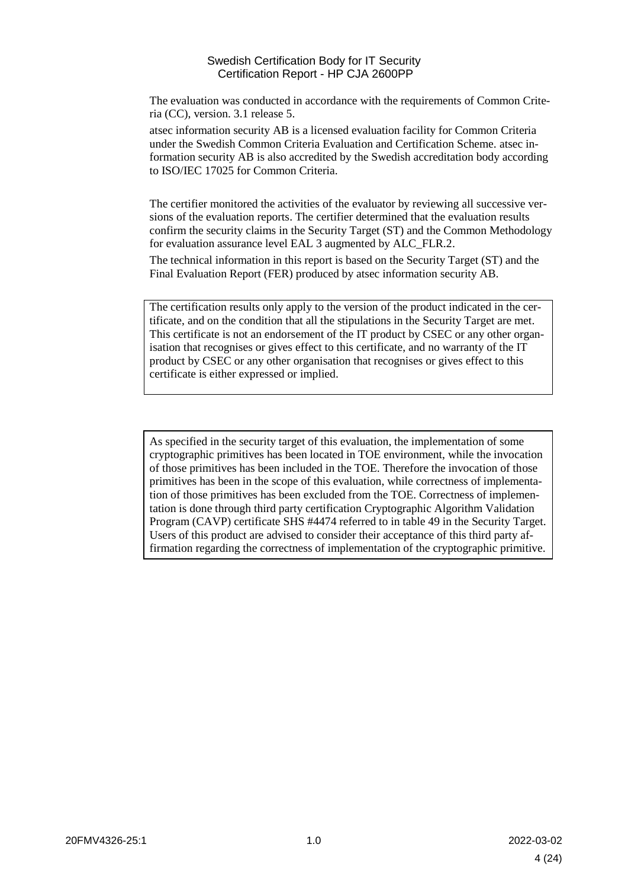The evaluation was conducted in accordance with the requirements of Common Criteria (CC), version. 3.1 release 5.

atsec information security AB is a licensed evaluation facility for Common Criteria under the Swedish Common Criteria Evaluation and Certification Scheme. atsec information security AB is also accredited by the Swedish accreditation body according to ISO/IEC 17025 for Common Criteria.

The certifier monitored the activities of the evaluator by reviewing all successive versions of the evaluation reports. The certifier determined that the evaluation results confirm the security claims in the Security Target (ST) and the Common Methodology for evaluation assurance level EAL 3 augmented by ALC\_FLR.2.

The technical information in this report is based on the Security Target (ST) and the Final Evaluation Report (FER) produced by atsec information security AB.

The certification results only apply to the version of the product indicated in the certificate, and on the condition that all the stipulations in the Security Target are met. This certificate is not an endorsement of the IT product by CSEC or any other organisation that recognises or gives effect to this certificate, and no warranty of the IT product by CSEC or any other organisation that recognises or gives effect to this certificate is either expressed or implied.

As specified in the security target of this evaluation, the implementation of some cryptographic primitives has been located in TOE environment, while the invocation of those primitives has been included in the TOE. Therefore the invocation of those primitives has been in the scope of this evaluation, while correctness of implementation of those primitives has been excluded from the TOE. Correctness of implementation is done through third party certification Cryptographic Algorithm Validation Program (CAVP) certificate SHS #4474 referred to in table 49 in the Security Target. Users of this product are advised to consider their acceptance of this third party affirmation regarding the correctness of implementation of the cryptographic primitive.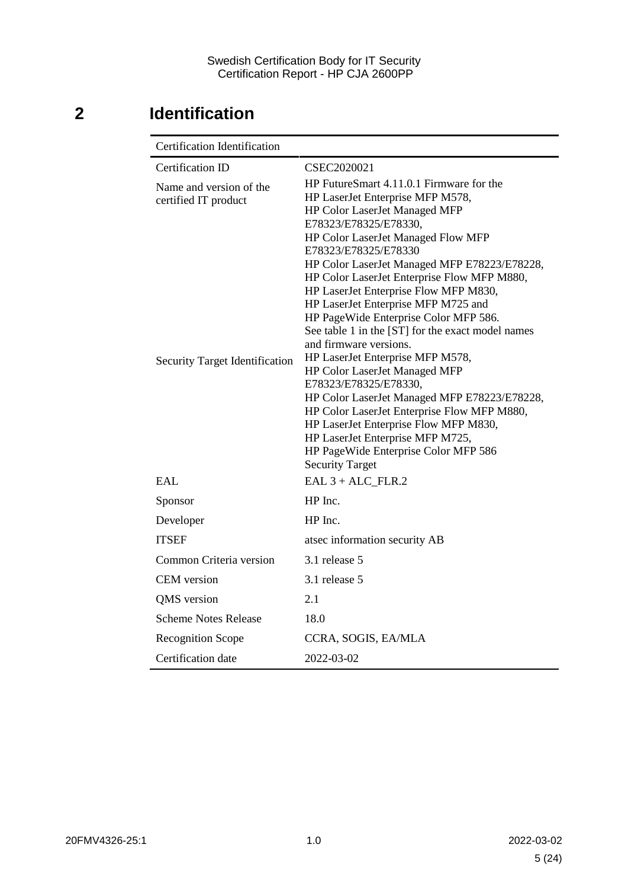## <span id="page-5-0"></span>**2 Identification**

| <b>Certification Identification</b>                                                      |                                                                                                                                                                                                                                                                                                                                                                                                                                                                                                                                                                                                                                                                                                                                                                                                                                                         |  |  |
|------------------------------------------------------------------------------------------|---------------------------------------------------------------------------------------------------------------------------------------------------------------------------------------------------------------------------------------------------------------------------------------------------------------------------------------------------------------------------------------------------------------------------------------------------------------------------------------------------------------------------------------------------------------------------------------------------------------------------------------------------------------------------------------------------------------------------------------------------------------------------------------------------------------------------------------------------------|--|--|
| <b>Certification ID</b>                                                                  | CSEC2020021                                                                                                                                                                                                                                                                                                                                                                                                                                                                                                                                                                                                                                                                                                                                                                                                                                             |  |  |
| Name and version of the<br>certified IT product<br><b>Security Target Identification</b> | HP FutureSmart 4.11.0.1 Firmware for the<br>HP LaserJet Enterprise MFP M578,<br>HP Color LaserJet Managed MFP<br>E78323/E78325/E78330,<br>HP Color LaserJet Managed Flow MFP<br>E78323/E78325/E78330<br>HP Color LaserJet Managed MFP E78223/E78228,<br>HP Color LaserJet Enterprise Flow MFP M880,<br>HP LaserJet Enterprise Flow MFP M830,<br>HP LaserJet Enterprise MFP M725 and<br>HP PageWide Enterprise Color MFP 586.<br>See table 1 in the [ST] for the exact model names<br>and firmware versions.<br>HP LaserJet Enterprise MFP M578,<br>HP Color LaserJet Managed MFP<br>E78323/E78325/E78330,<br>HP Color LaserJet Managed MFP E78223/E78228,<br>HP Color LaserJet Enterprise Flow MFP M880,<br>HP LaserJet Enterprise Flow MFP M830,<br>HP LaserJet Enterprise MFP M725,<br>HP PageWide Enterprise Color MFP 586<br><b>Security Target</b> |  |  |
| EAL                                                                                      | $EAL$ 3 + ALC_FLR.2                                                                                                                                                                                                                                                                                                                                                                                                                                                                                                                                                                                                                                                                                                                                                                                                                                     |  |  |
| Sponsor                                                                                  | HP Inc.                                                                                                                                                                                                                                                                                                                                                                                                                                                                                                                                                                                                                                                                                                                                                                                                                                                 |  |  |
| Developer                                                                                | HP Inc.                                                                                                                                                                                                                                                                                                                                                                                                                                                                                                                                                                                                                                                                                                                                                                                                                                                 |  |  |
| <b>ITSEF</b>                                                                             | atsec information security AB                                                                                                                                                                                                                                                                                                                                                                                                                                                                                                                                                                                                                                                                                                                                                                                                                           |  |  |
| Common Criteria version                                                                  | 3.1 release 5                                                                                                                                                                                                                                                                                                                                                                                                                                                                                                                                                                                                                                                                                                                                                                                                                                           |  |  |
| CEM version                                                                              | 3.1 release 5                                                                                                                                                                                                                                                                                                                                                                                                                                                                                                                                                                                                                                                                                                                                                                                                                                           |  |  |
| QMS version                                                                              | 2.1                                                                                                                                                                                                                                                                                                                                                                                                                                                                                                                                                                                                                                                                                                                                                                                                                                                     |  |  |
| <b>Scheme Notes Release</b>                                                              | 18.0                                                                                                                                                                                                                                                                                                                                                                                                                                                                                                                                                                                                                                                                                                                                                                                                                                                    |  |  |
| <b>Recognition Scope</b>                                                                 | CCRA, SOGIS, EA/MLA                                                                                                                                                                                                                                                                                                                                                                                                                                                                                                                                                                                                                                                                                                                                                                                                                                     |  |  |
| Certification date                                                                       | 2022-03-02                                                                                                                                                                                                                                                                                                                                                                                                                                                                                                                                                                                                                                                                                                                                                                                                                                              |  |  |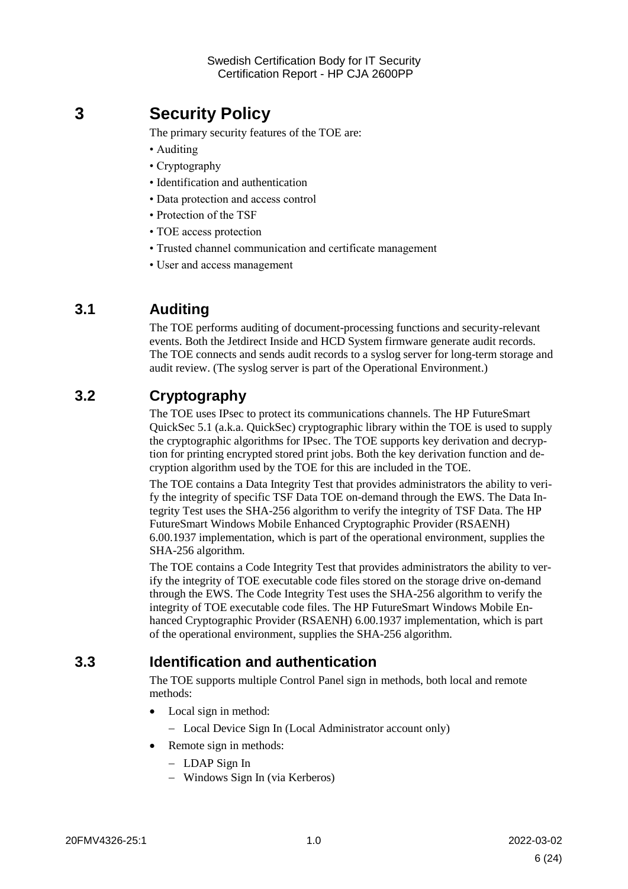## <span id="page-6-0"></span>**3 Security Policy**

The primary security features of the TOE are:

- Auditing
- Cryptography
- Identification and authentication
- Data protection and access control
- Protection of the TSF
- TOE access protection
- Trusted channel communication and certificate management
- User and access management

## <span id="page-6-1"></span>**3.1 Auditing**

The TOE performs auditing of document-processing functions and security-relevant events. Both the Jetdirect Inside and HCD System firmware generate audit records. The TOE connects and sends audit records to a syslog server for long-term storage and audit review. (The syslog server is part of the Operational Environment.)

## <span id="page-6-2"></span>**3.2 Cryptography**

The TOE uses IPsec to protect its communications channels. The HP FutureSmart QuickSec 5.1 (a.k.a. QuickSec) cryptographic library within the TOE is used to supply the cryptographic algorithms for IPsec. The TOE supports key derivation and decryption for printing encrypted stored print jobs. Both the key derivation function and decryption algorithm used by the TOE for this are included in the TOE.

The TOE contains a Data Integrity Test that provides administrators the ability to verify the integrity of specific TSF Data TOE on-demand through the EWS. The Data Integrity Test uses the SHA-256 algorithm to verify the integrity of TSF Data. The HP FutureSmart Windows Mobile Enhanced Cryptographic Provider (RSAENH) 6.00.1937 implementation, which is part of the operational environment, supplies the SHA-256 algorithm.

The TOE contains a Code Integrity Test that provides administrators the ability to verify the integrity of TOE executable code files stored on the storage drive on-demand through the EWS. The Code Integrity Test uses the SHA-256 algorithm to verify the integrity of TOE executable code files. The HP FutureSmart Windows Mobile Enhanced Cryptographic Provider (RSAENH) 6.00.1937 implementation, which is part of the operational environment, supplies the SHA-256 algorithm.

### <span id="page-6-3"></span>**3.3 Identification and authentication**

The TOE supports multiple Control Panel sign in methods, both local and remote methods:

- Local sign in method:
	- Local Device Sign In (Local Administrator account only)
- Remote sign in methods:
	- LDAP Sign In
	- Windows Sign In (via Kerberos)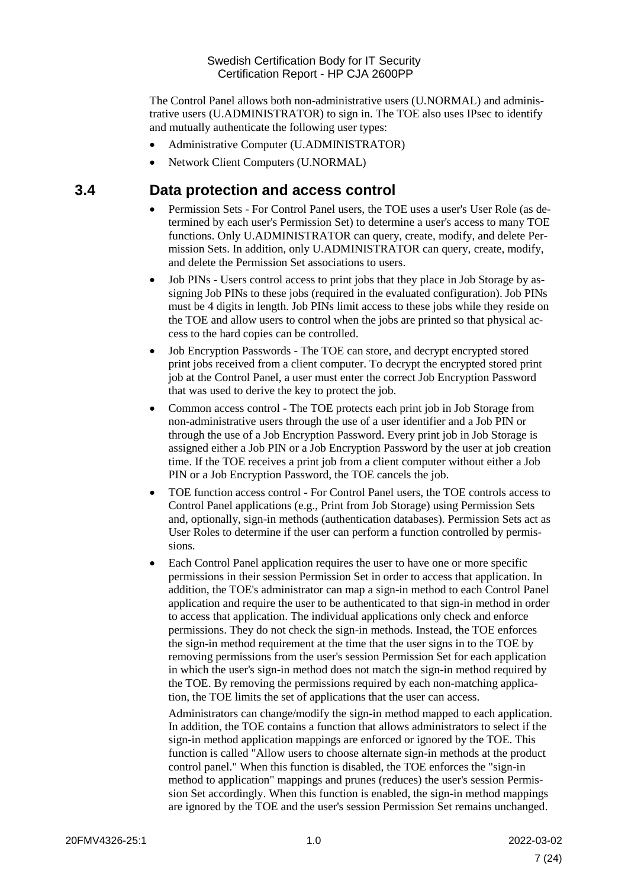The Control Panel allows both non-administrative users (U.NORMAL) and administrative users (U.ADMINISTRATOR) to sign in. The TOE also uses IPsec to identify and mutually authenticate the following user types:

- Administrative Computer (U.ADMINISTRATOR)
- Network Client Computers (U.NORMAL)

### <span id="page-7-0"></span>**3.4 Data protection and access control**

- Permission Sets For Control Panel users, the TOE uses a user's User Role (as determined by each user's Permission Set) to determine a user's access to many TOE functions. Only U.ADMINISTRATOR can query, create, modify, and delete Permission Sets. In addition, only U.ADMINISTRATOR can query, create, modify, and delete the Permission Set associations to users.
- Job PINs Users control access to print jobs that they place in Job Storage by assigning Job PINs to these jobs (required in the evaluated configuration). Job PINs must be 4 digits in length. Job PINs limit access to these jobs while they reside on the TOE and allow users to control when the jobs are printed so that physical access to the hard copies can be controlled.
- Job Encryption Passwords The TOE can store, and decrypt encrypted stored print jobs received from a client computer. To decrypt the encrypted stored print job at the Control Panel, a user must enter the correct Job Encryption Password that was used to derive the key to protect the job.
- Common access control The TOE protects each print job in Job Storage from non-administrative users through the use of a user identifier and a Job PIN or through the use of a Job Encryption Password. Every print job in Job Storage is assigned either a Job PIN or a Job Encryption Password by the user at job creation time. If the TOE receives a print job from a client computer without either a Job PIN or a Job Encryption Password, the TOE cancels the job.
- TOE function access control For Control Panel users, the TOE controls access to Control Panel applications (e.g., Print from Job Storage) using Permission Sets and, optionally, sign-in methods (authentication databases). Permission Sets act as User Roles to determine if the user can perform a function controlled by permissions.
- Each Control Panel application requires the user to have one or more specific permissions in their session Permission Set in order to access that application. In addition, the TOE's administrator can map a sign-in method to each Control Panel application and require the user to be authenticated to that sign-in method in order to access that application. The individual applications only check and enforce permissions. They do not check the sign-in methods. Instead, the TOE enforces the sign-in method requirement at the time that the user signs in to the TOE by removing permissions from the user's session Permission Set for each application in which the user's sign-in method does not match the sign-in method required by the TOE. By removing the permissions required by each non-matching application, the TOE limits the set of applications that the user can access.

Administrators can change/modify the sign-in method mapped to each application. In addition, the TOE contains a function that allows administrators to select if the sign-in method application mappings are enforced or ignored by the TOE. This function is called "Allow users to choose alternate sign-in methods at the product control panel." When this function is disabled, the TOE enforces the "sign-in method to application" mappings and prunes (reduces) the user's session Permission Set accordingly. When this function is enabled, the sign-in method mappings are ignored by the TOE and the user's session Permission Set remains unchanged.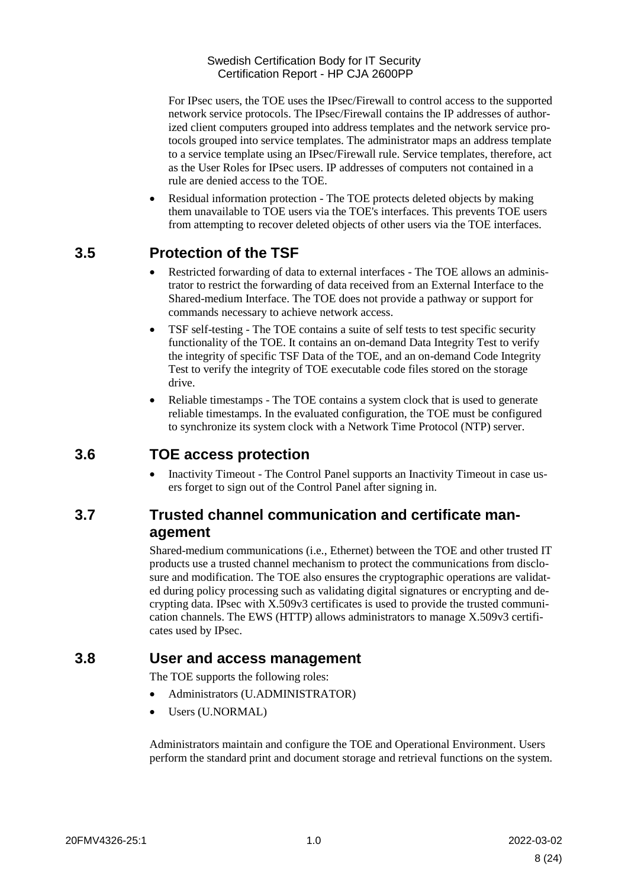For IPsec users, the TOE uses the IPsec/Firewall to control access to the supported network service protocols. The IPsec/Firewall contains the IP addresses of authorized client computers grouped into address templates and the network service protocols grouped into service templates. The administrator maps an address template to a service template using an IPsec/Firewall rule. Service templates, therefore, act as the User Roles for IPsec users. IP addresses of computers not contained in a rule are denied access to the TOE.

 Residual information protection - The TOE protects deleted objects by making them unavailable to TOE users via the TOE's interfaces. This prevents TOE users from attempting to recover deleted objects of other users via the TOE interfaces.

## <span id="page-8-0"></span>**3.5 Protection of the TSF**

- Restricted forwarding of data to external interfaces The TOE allows an administrator to restrict the forwarding of data received from an External Interface to the Shared-medium Interface. The TOE does not provide a pathway or support for commands necessary to achieve network access.
- TSF self-testing The TOE contains a suite of self tests to test specific security functionality of the TOE. It contains an on-demand Data Integrity Test to verify the integrity of specific TSF Data of the TOE, and an on-demand Code Integrity Test to verify the integrity of TOE executable code files stored on the storage drive.
- Reliable timestamps The TOE contains a system clock that is used to generate reliable timestamps. In the evaluated configuration, the TOE must be configured to synchronize its system clock with a Network Time Protocol (NTP) server.

### <span id="page-8-1"></span>**3.6 TOE access protection**

 Inactivity Timeout - The Control Panel supports an Inactivity Timeout in case users forget to sign out of the Control Panel after signing in.

### <span id="page-8-2"></span>**3.7 Trusted channel communication and certificate management**

Shared-medium communications (i.e., Ethernet) between the TOE and other trusted IT products use a trusted channel mechanism to protect the communications from disclosure and modification. The TOE also ensures the cryptographic operations are validated during policy processing such as validating digital signatures or encrypting and decrypting data. IPsec with X.509v3 certificates is used to provide the trusted communication channels. The EWS (HTTP) allows administrators to manage X.509v3 certificates used by IPsec.

### <span id="page-8-3"></span>**3.8 User and access management**

The TOE supports the following roles:

- Administrators (U.ADMINISTRATOR)
- Users (U.NORMAL)

Administrators maintain and configure the TOE and Operational Environment. Users perform the standard print and document storage and retrieval functions on the system.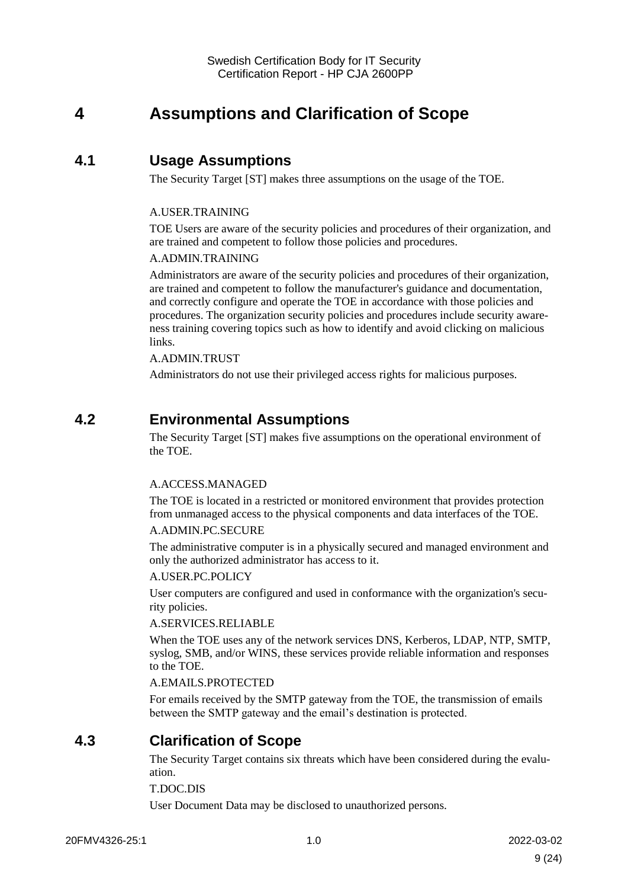## <span id="page-9-0"></span>**4 Assumptions and Clarification of Scope**

## <span id="page-9-1"></span>**4.1 Usage Assumptions**

The Security Target [ST] makes three assumptions on the usage of the TOE.

#### A.USER.TRAINING

TOE Users are aware of the security policies and procedures of their organization, and are trained and competent to follow those policies and procedures.

#### A.ADMIN.TRAINING

Administrators are aware of the security policies and procedures of their organization, are trained and competent to follow the manufacturer's guidance and documentation, and correctly configure and operate the TOE in accordance with those policies and procedures. The organization security policies and procedures include security awareness training covering topics such as how to identify and avoid clicking on malicious links.

#### A.ADMIN.TRUST

Administrators do not use their privileged access rights for malicious purposes.

### <span id="page-9-2"></span>**4.2 Environmental Assumptions**

The Security Target [ST] makes five assumptions on the operational environment of the TOE.

#### A.ACCESS.MANAGED

The TOE is located in a restricted or monitored environment that provides protection from unmanaged access to the physical components and data interfaces of the TOE.

#### A.ADMIN.PC.SECURE

The administrative computer is in a physically secured and managed environment and only the authorized administrator has access to it.

#### A.USER.PC.POLICY

User computers are configured and used in conformance with the organization's security policies.

#### A.SERVICES.RELIABLE

When the TOE uses any of the network services DNS, Kerberos, LDAP, NTP, SMTP, syslog, SMB, and/or WINS, these services provide reliable information and responses to the TOE.

#### A.EMAILS.PROTECTED

For emails received by the SMTP gateway from the TOE, the transmission of emails between the SMTP gateway and the email's destination is protected.

### <span id="page-9-3"></span>**4.3 Clarification of Scope**

The Security Target contains six threats which have been considered during the evaluation.

#### T.DOC.DIS

User Document Data may be disclosed to unauthorized persons.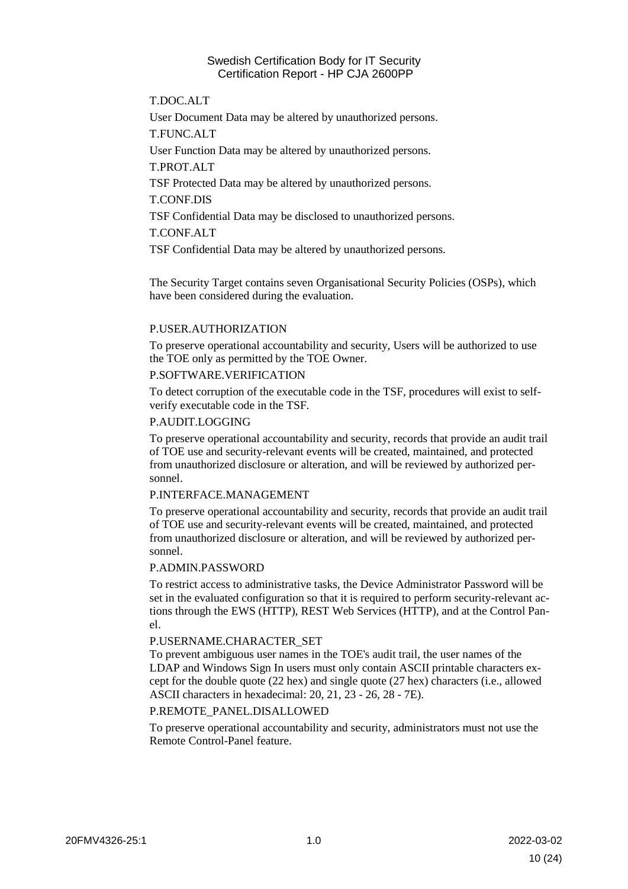#### T.DOC.ALT

User Document Data may be altered by unauthorized persons.

T.FUNC.ALT

User Function Data may be altered by unauthorized persons.

T.PROT.ALT

TSF Protected Data may be altered by unauthorized persons.

T.CONF.DIS

TSF Confidential Data may be disclosed to unauthorized persons.

T.CONF.ALT

TSF Confidential Data may be altered by unauthorized persons.

The Security Target contains seven Organisational Security Policies (OSPs), which have been considered during the evaluation.

#### P.USER.AUTHORIZATION

To preserve operational accountability and security, Users will be authorized to use the TOE only as permitted by the TOE Owner.

#### P.SOFTWARE.VERIFICATION

To detect corruption of the executable code in the TSF, procedures will exist to selfverify executable code in the TSF.

#### P.AUDIT.LOGGING

To preserve operational accountability and security, records that provide an audit trail of TOE use and security-relevant events will be created, maintained, and protected from unauthorized disclosure or alteration, and will be reviewed by authorized personnel.

#### P.INTERFACE.MANAGEMENT

To preserve operational accountability and security, records that provide an audit trail of TOE use and security-relevant events will be created, maintained, and protected from unauthorized disclosure or alteration, and will be reviewed by authorized personnel.

#### P.ADMIN.PASSWORD

To restrict access to administrative tasks, the Device Administrator Password will be set in the evaluated configuration so that it is required to perform security-relevant actions through the EWS (HTTP), REST Web Services (HTTP), and at the Control Panel.

#### P.USERNAME.CHARACTER\_SET

To prevent ambiguous user names in the TOE's audit trail, the user names of the LDAP and Windows Sign In users must only contain ASCII printable characters except for the double quote (22 hex) and single quote (27 hex) characters (i.e., allowed ASCII characters in hexadecimal: 20, 21, 23 - 26, 28 - 7E).

#### P.REMOTE\_PANEL.DISALLOWED

To preserve operational accountability and security, administrators must not use the Remote Control-Panel feature.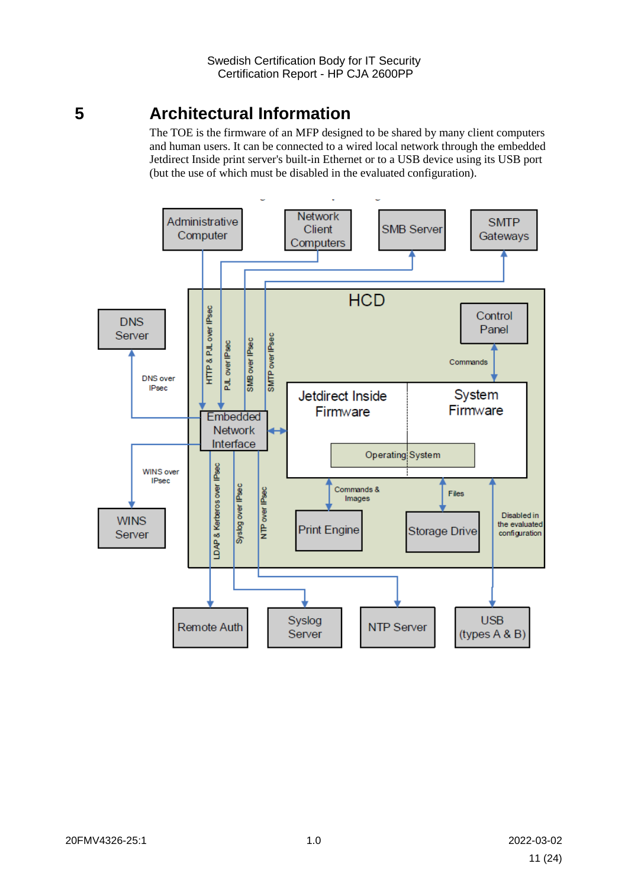## <span id="page-11-0"></span>**5 Architectural Information**

The TOE is the firmware of an MFP designed to be shared by many client computers and human users. It can be connected to a wired local network through the embedded Jetdirect Inside print server's built-in Ethernet or to a USB device using its USB port (but the use of which must be disabled in the evaluated configuration).

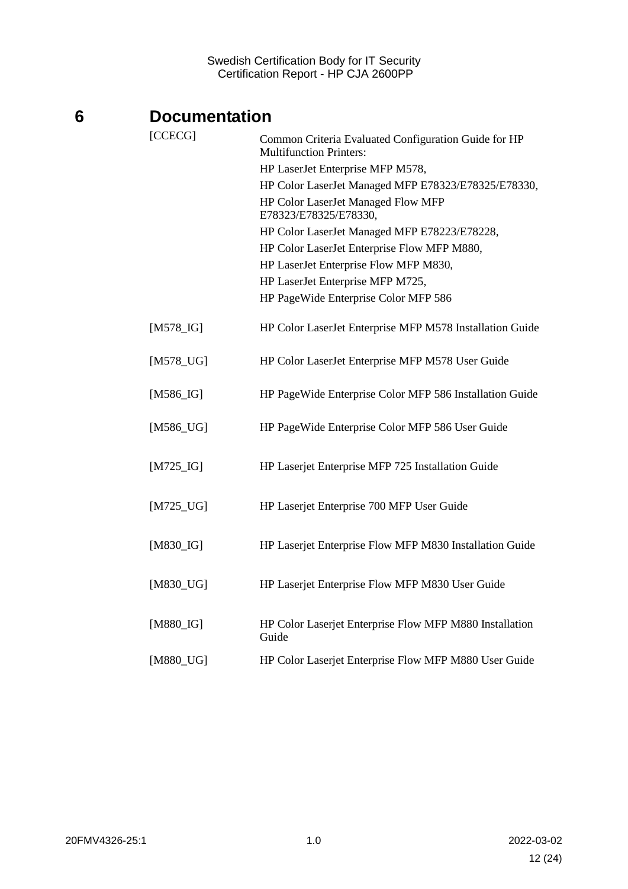## <span id="page-12-0"></span>**6 Documentation**

| [CECG]                  | Common Criteria Evaluated Configuration Guide for HP<br><b>Multifunction Printers:</b> |  |  |  |
|-------------------------|----------------------------------------------------------------------------------------|--|--|--|
|                         | HP LaserJet Enterprise MFP M578,                                                       |  |  |  |
|                         | HP Color LaserJet Managed MFP E78323/E78325/E78330,                                    |  |  |  |
|                         | HP Color LaserJet Managed Flow MFP<br>E78323/E78325/E78330,                            |  |  |  |
|                         | HP Color LaserJet Managed MFP E78223/E78228,                                           |  |  |  |
|                         | HP Color LaserJet Enterprise Flow MFP M880,                                            |  |  |  |
|                         | HP LaserJet Enterprise Flow MFP M830,                                                  |  |  |  |
|                         | HP LaserJet Enterprise MFP M725,                                                       |  |  |  |
|                         | HP PageWide Enterprise Color MFP 586                                                   |  |  |  |
| $[M578_G]$              | HP Color LaserJet Enterprise MFP M578 Installation Guide                               |  |  |  |
| $[M578_UG]$             | HP Color LaserJet Enterprise MFP M578 User Guide                                       |  |  |  |
| $[M586_G]$              | HP PageWide Enterprise Color MFP 586 Installation Guide                                |  |  |  |
| $[M586_UG]$             | HP PageWide Enterprise Color MFP 586 User Guide                                        |  |  |  |
| $[M725_G]$              | HP Laserjet Enterprise MFP 725 Installation Guide                                      |  |  |  |
| $[M725_UG]$             | HP Laserjet Enterprise 700 MFP User Guide                                              |  |  |  |
| $[M830_I]$              | HP Laserjet Enterprise Flow MFP M830 Installation Guide                                |  |  |  |
| $[M830_UG]$             | HP Laserjet Enterprise Flow MFP M830 User Guide                                        |  |  |  |
| $[M880$ <sup>IG</sup> ] | HP Color Laserjet Enterprise Flow MFP M880 Installation<br>Guide                       |  |  |  |
| $[M880_UG]$             | HP Color Laserjet Enterprise Flow MFP M880 User Guide                                  |  |  |  |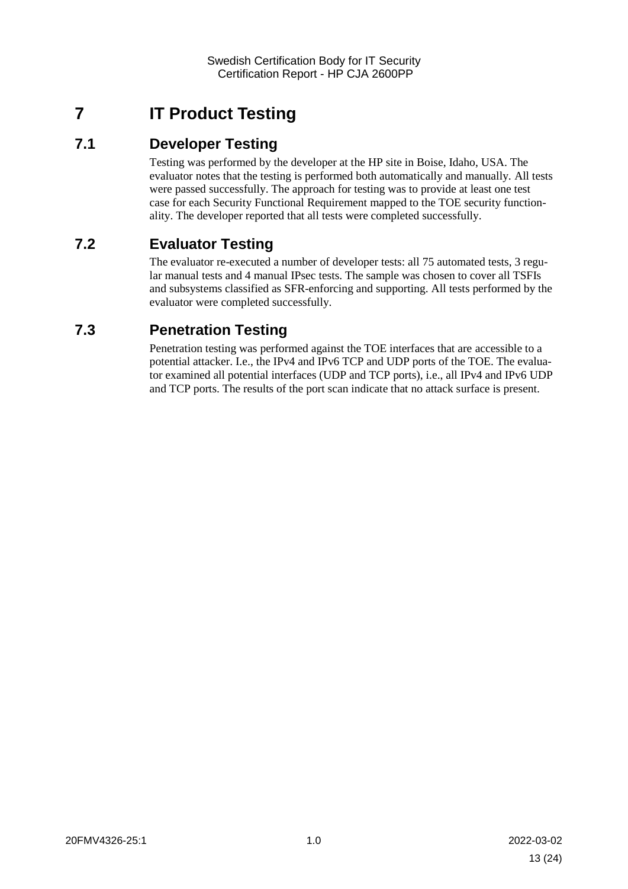## <span id="page-13-0"></span>**7 IT Product Testing**

## <span id="page-13-1"></span>**7.1 Developer Testing**

Testing was performed by the developer at the HP site in Boise, Idaho, USA. The evaluator notes that the testing is performed both automatically and manually. All tests were passed successfully. The approach for testing was to provide at least one test case for each Security Functional Requirement mapped to the TOE security functionality. The developer reported that all tests were completed successfully.

## <span id="page-13-2"></span>**7.2 Evaluator Testing**

The evaluator re-executed a number of developer tests: all 75 automated tests, 3 regular manual tests and 4 manual IPsec tests. The sample was chosen to cover all TSFIs and subsystems classified as SFR-enforcing and supporting. All tests performed by the evaluator were completed successfully.

## <span id="page-13-3"></span>**7.3 Penetration Testing**

Penetration testing was performed against the TOE interfaces that are accessible to a potential attacker. I.e., the IPv4 and IPv6 TCP and UDP ports of the TOE. The evaluator examined all potential interfaces (UDP and TCP ports), i.e., all IPv4 and IPv6 UDP and TCP ports. The results of the port scan indicate that no attack surface is present.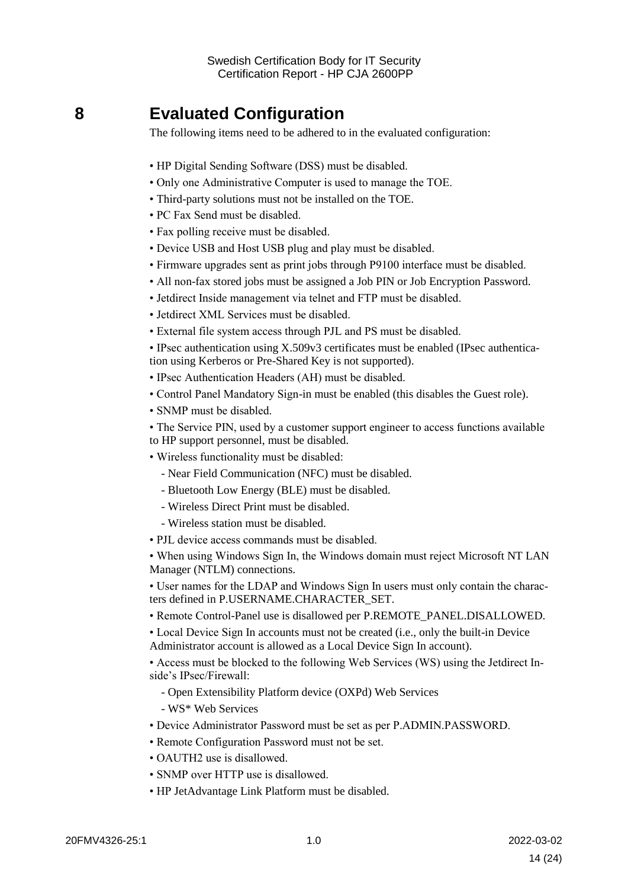## <span id="page-14-0"></span>**8 Evaluated Configuration**

The following items need to be adhered to in the evaluated configuration:

- HP Digital Sending Software (DSS) must be disabled.
- Only one Administrative Computer is used to manage the TOE.
- Third-party solutions must not be installed on the TOE.
- PC Fax Send must be disabled.
- Fax polling receive must be disabled.
- Device USB and Host USB plug and play must be disabled.
- Firmware upgrades sent as print jobs through P9100 interface must be disabled.
- All non-fax stored jobs must be assigned a Job PIN or Job Encryption Password.
- Jetdirect Inside management via telnet and FTP must be disabled.
- Jetdirect XML Services must be disabled.
- External file system access through PJL and PS must be disabled.

• IPsec authentication using X.509v3 certificates must be enabled (IPsec authentication using Kerberos or Pre-Shared Key is not supported).

- IPsec Authentication Headers (AH) must be disabled.
- Control Panel Mandatory Sign-in must be enabled (this disables the Guest role).
- SNMP must be disabled.

• The Service PIN, used by a customer support engineer to access functions available to HP support personnel, must be disabled.

- Wireless functionality must be disabled:
	- Near Field Communication (NFC) must be disabled.
	- Bluetooth Low Energy (BLE) must be disabled.
	- Wireless Direct Print must be disabled.
	- Wireless station must be disabled.
- PJL device access commands must be disabled.

• When using Windows Sign In, the Windows domain must reject Microsoft NT LAN Manager (NTLM) connections.

• User names for the LDAP and Windows Sign In users must only contain the characters defined in P.USERNAME.CHARACTER\_SET.

• Remote Control-Panel use is disallowed per P.REMOTE\_PANEL.DISALLOWED.

• Local Device Sign In accounts must not be created (i.e., only the built-in Device Administrator account is allowed as a Local Device Sign In account).

• Access must be blocked to the following Web Services (WS) using the Jetdirect Inside's IPsec/Firewall:

- Open Extensibility Platform device (OXPd) Web Services

- WS\* Web Services
- Device Administrator Password must be set as per P.ADMIN.PASSWORD.
- Remote Configuration Password must not be set.
- OAUTH2 use is disallowed.
- SNMP over HTTP use is disallowed.
- HP JetAdvantage Link Platform must be disabled.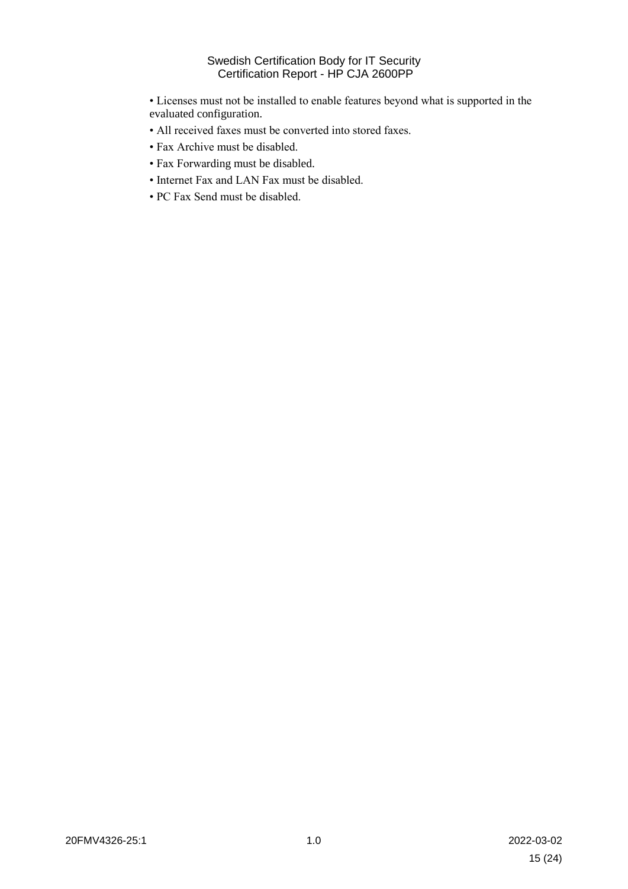• Licenses must not be installed to enable features beyond what is supported in the evaluated configuration.

- All received faxes must be converted into stored faxes.
- Fax Archive must be disabled.
- Fax Forwarding must be disabled.
- Internet Fax and LAN Fax must be disabled.
- PC Fax Send must be disabled.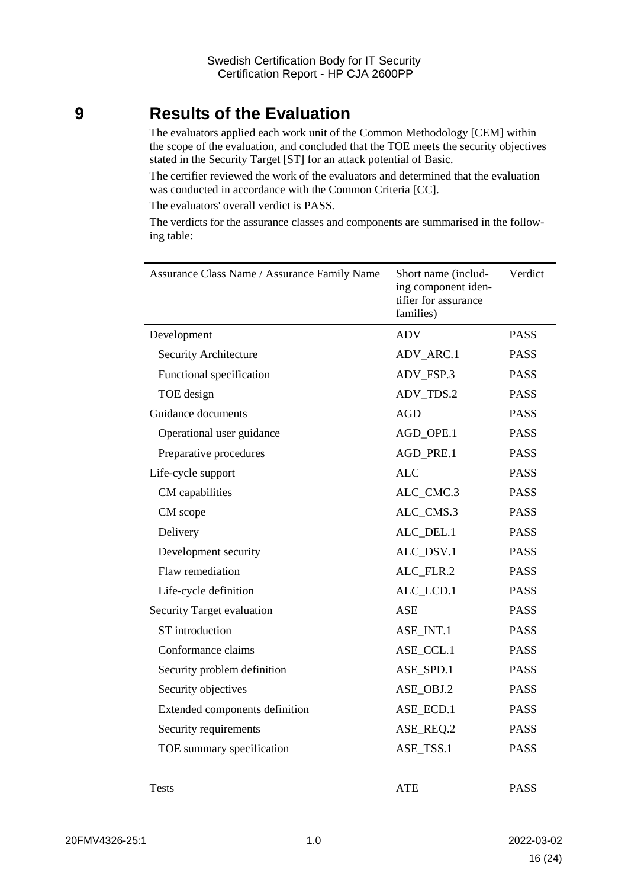## <span id="page-16-0"></span>**9 Results of the Evaluation**

The evaluators applied each work unit of the Common Methodology [CEM] within the scope of the evaluation, and concluded that the TOE meets the security objectives stated in the Security Target [ST] for an attack potential of Basic.

The certifier reviewed the work of the evaluators and determined that the evaluation was conducted in accordance with the Common Criteria [CC].

The evaluators' overall verdict is PASS.

The verdicts for the assurance classes and components are summarised in the following table:

| Assurance Class Name / Assurance Family Name | Short name (includ-<br>ing component iden-<br>tifier for assurance<br>families) | Verdict     |
|----------------------------------------------|---------------------------------------------------------------------------------|-------------|
| Development                                  | <b>ADV</b>                                                                      | <b>PASS</b> |
| Security Architecture                        | ADV_ARC.1                                                                       | <b>PASS</b> |
| Functional specification                     | ADV_FSP.3                                                                       | <b>PASS</b> |
| TOE design                                   | ADV_TDS.2                                                                       | <b>PASS</b> |
| Guidance documents                           | <b>AGD</b>                                                                      | <b>PASS</b> |
| Operational user guidance                    | AGD_OPE.1                                                                       | <b>PASS</b> |
| Preparative procedures                       | AGD_PRE.1                                                                       | <b>PASS</b> |
| Life-cycle support                           | <b>ALC</b>                                                                      | <b>PASS</b> |
| CM capabilities                              | ALC_CMC.3                                                                       | <b>PASS</b> |
| CM scope                                     | ALC_CMS.3                                                                       | <b>PASS</b> |
| Delivery                                     | ALC_DEL.1                                                                       | <b>PASS</b> |
| Development security                         | ALC_DSV.1                                                                       | <b>PASS</b> |
| Flaw remediation                             | ALC_FLR.2                                                                       | <b>PASS</b> |
| Life-cycle definition                        | ALC_LCD.1                                                                       | <b>PASS</b> |
| Security Target evaluation                   | <b>ASE</b>                                                                      | <b>PASS</b> |
| ST introduction                              | ASE_INT.1                                                                       | <b>PASS</b> |
| Conformance claims                           | ASE_CCL.1                                                                       | <b>PASS</b> |
| Security problem definition                  | ASE_SPD.1                                                                       | <b>PASS</b> |
| Security objectives                          | ASE OBJ.2                                                                       | <b>PASS</b> |
| Extended components definition               | ASE_ECD.1                                                                       | <b>PASS</b> |
| Security requirements                        | ASE_REQ.2                                                                       | <b>PASS</b> |
| TOE summary specification                    | ASE_TSS.1                                                                       | <b>PASS</b> |
| Tests                                        | <b>ATE</b>                                                                      | <b>PASS</b> |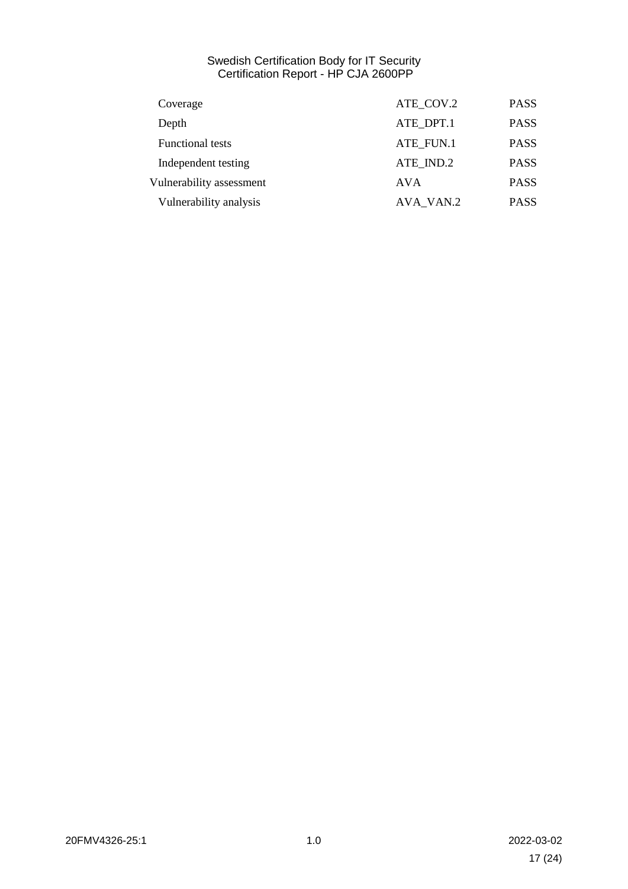| Coverage                 | ATE COV.2  | <b>PASS</b> |
|--------------------------|------------|-------------|
| Depth                    | ATE DPT.1  | <b>PASS</b> |
| <b>Functional tests</b>  | ATE FUN.1  | <b>PASS</b> |
| Independent testing      | ATE IND.2  | <b>PASS</b> |
| Vulnerability assessment | <b>AVA</b> | <b>PASS</b> |
| Vulnerability analysis   | AVA VAN.2  | <b>PASS</b> |
|                          |            |             |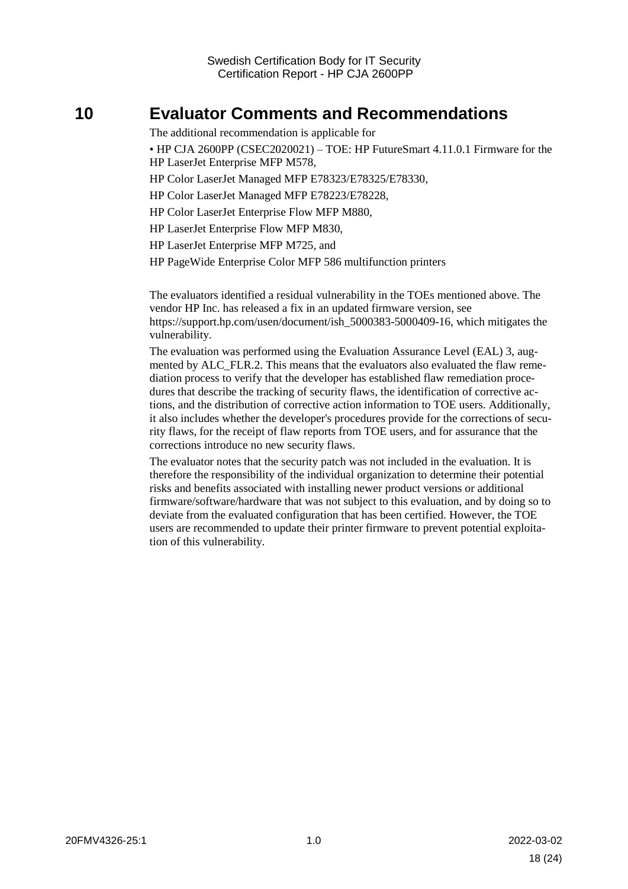## <span id="page-18-0"></span>**10 Evaluator Comments and Recommendations**

The additional recommendation is applicable for

• HP CJA 2600PP (CSEC2020021) – TOE: HP FutureSmart 4.11.0.1 Firmware for the HP LaserJet Enterprise MFP M578,

HP Color LaserJet Managed MFP E78323/E78325/E78330,

HP Color LaserJet Managed MFP E78223/E78228,

HP Color LaserJet Enterprise Flow MFP M880,

HP LaserJet Enterprise Flow MFP M830,

HP LaserJet Enterprise MFP M725, and

HP PageWide Enterprise Color MFP 586 multifunction printers

The evaluators identified a residual vulnerability in the TOEs mentioned above. The vendor HP Inc. has released a fix in an updated firmware version, see https://support.hp.com/usen/document/ish\_5000383-5000409-16, which mitigates the vulnerability.

The evaluation was performed using the Evaluation Assurance Level (EAL) 3, augmented by ALC FLR.2. This means that the evaluators also evaluated the flaw remediation process to verify that the developer has established flaw remediation procedures that describe the tracking of security flaws, the identification of corrective actions, and the distribution of corrective action information to TOE users. Additionally, it also includes whether the developer's procedures provide for the corrections of security flaws, for the receipt of flaw reports from TOE users, and for assurance that the corrections introduce no new security flaws.

The evaluator notes that the security patch was not included in the evaluation. It is therefore the responsibility of the individual organization to determine their potential risks and benefits associated with installing newer product versions or additional firmware/software/hardware that was not subject to this evaluation, and by doing so to deviate from the evaluated configuration that has been certified. However, the TOE users are recommended to update their printer firmware to prevent potential exploitation of this vulnerability.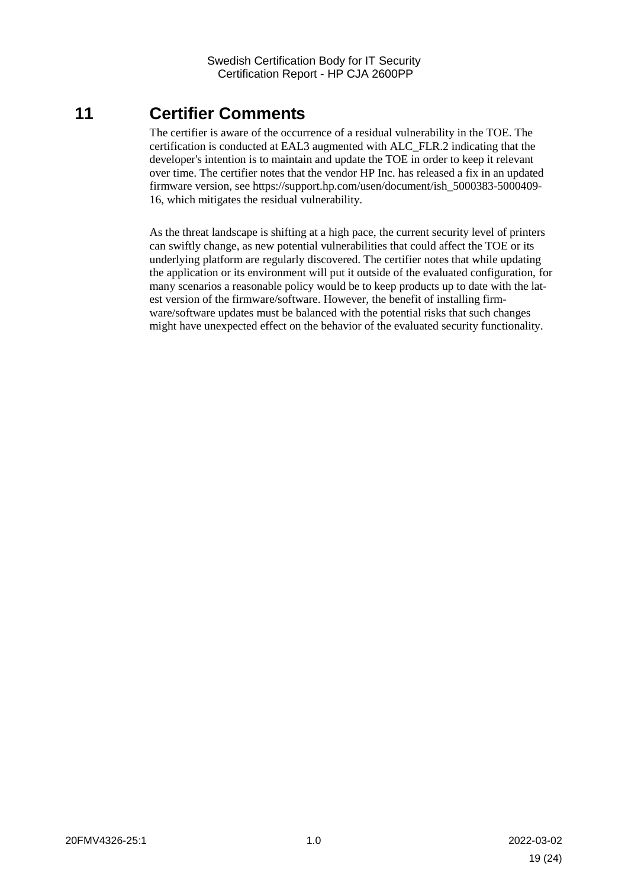## <span id="page-19-0"></span>**11 Certifier Comments**

The certifier is aware of the occurrence of a residual vulnerability in the TOE. The certification is conducted at EAL3 augmented with ALC\_FLR.2 indicating that the developer's intention is to maintain and update the TOE in order to keep it relevant over time. The certifier notes that the vendor HP Inc. has released a fix in an updated firmware version, see https://support.hp.com/usen/document/ish\_5000383-5000409- 16, which mitigates the residual vulnerability.

As the threat landscape is shifting at a high pace, the current security level of printers can swiftly change, as new potential vulnerabilities that could affect the TOE or its underlying platform are regularly discovered. The certifier notes that while updating the application or its environment will put it outside of the evaluated configuration, for many scenarios a reasonable policy would be to keep products up to date with the latest version of the firmware/software. However, the benefit of installing firmware/software updates must be balanced with the potential risks that such changes might have unexpected effect on the behavior of the evaluated security functionality.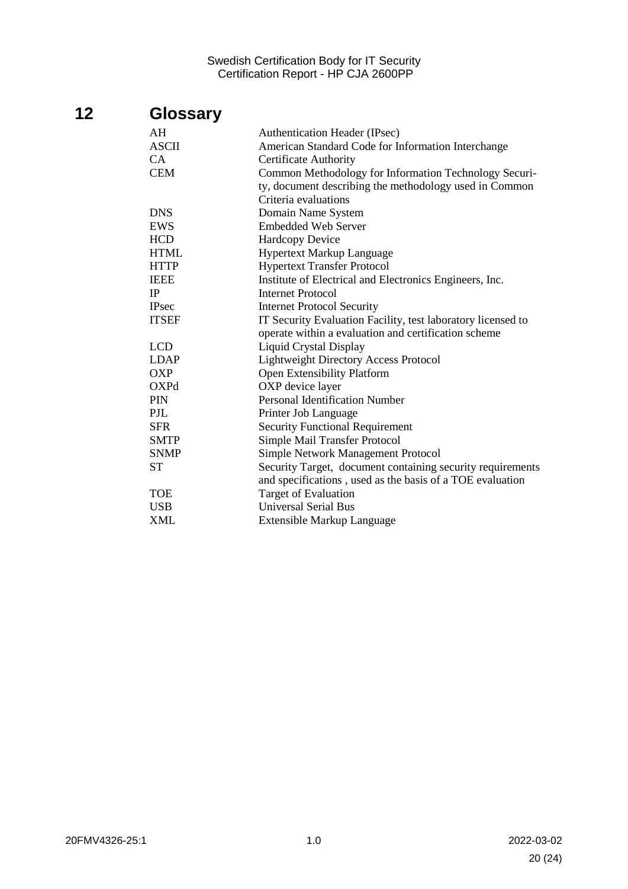## <span id="page-20-0"></span>**12 Glossary**

| AH                                                                           | Authentication Header (IPsec)                             |
|------------------------------------------------------------------------------|-----------------------------------------------------------|
| ASCII                                                                        | American Standard Code for Information Interchange        |
| CA                                                                           | <b>Certificate Authority</b>                              |
| <b>CEM</b>                                                                   | Common Methodology for Information Technology Securi-     |
|                                                                              | ty, document describing the methodology used in Common    |
|                                                                              | Criteria evaluations                                      |
| DNS                                                                          | Domain Name System                                        |
| EWS                                                                          | <b>Embedded Web Server</b>                                |
| <b>HCD</b>                                                                   | <b>Hardcopy Device</b>                                    |
| <b>HTML</b>                                                                  | Hypertext Markup Language                                 |
| <b>HTTP</b>                                                                  | <b>Hypertext Transfer Protocol</b>                        |
| <b>IEEE</b>                                                                  | Institute of Electrical and Electronics Engineers, Inc.   |
| IP                                                                           | <b>Internet Protocol</b>                                  |
| <b>IPsec</b>                                                                 | <b>Internet Protocol Security</b>                         |
| <b>ITSEF</b><br>IT Security Evaluation Facility, test laboratory licensed to |                                                           |
|                                                                              | operate within a evaluation and certification scheme      |
| LCD                                                                          | <b>Liquid Crystal Display</b>                             |
| LDAP                                                                         | Lightweight Directory Access Protocol                     |
| OXP                                                                          | <b>Open Extensibility Platform</b>                        |
| OXPd                                                                         | OXP device layer                                          |
| PIN                                                                          | <b>Personal Identification Number</b>                     |
| PJL                                                                          | Printer Job Language                                      |
| <b>SFR</b>                                                                   | <b>Security Functional Requirement</b>                    |
| <b>SMTP</b>                                                                  | Simple Mail Transfer Protocol                             |
| <b>SNMP</b>                                                                  | Simple Network Management Protocol                        |
| ST<br>Security Target, document containing security requirements             |                                                           |
|                                                                              | and specifications, used as the basis of a TOE evaluation |
| TOE                                                                          | Target of Evaluation                                      |
| USB                                                                          | <b>Universal Serial Bus</b>                               |
| XML                                                                          | Extensible Markup Language                                |
|                                                                              |                                                           |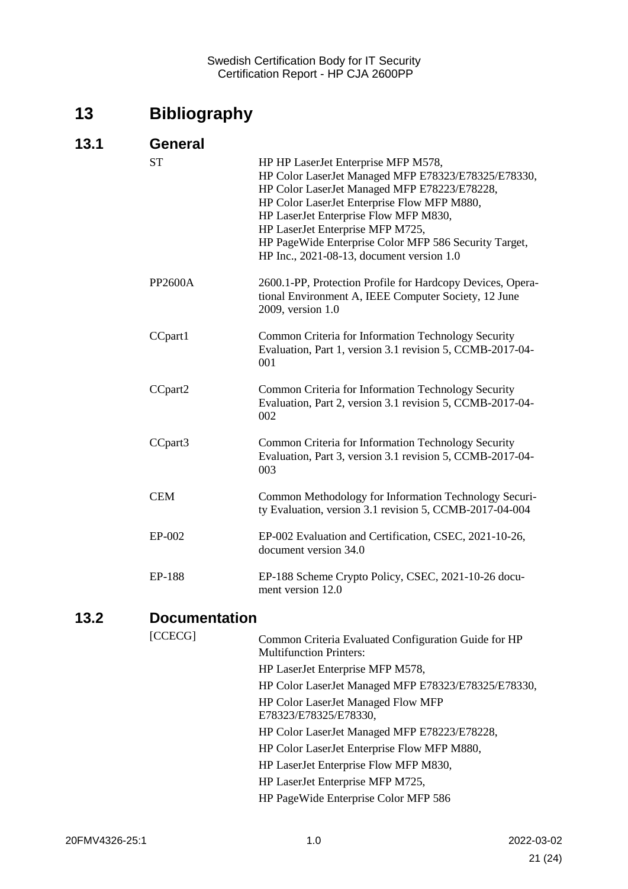## <span id="page-21-0"></span>**13 Bibliography**

<span id="page-21-1"></span>

| 13.1 | <b>General</b> |                                                                                                                                                                                                                                                                                                                                                                              |  |  |  |
|------|----------------|------------------------------------------------------------------------------------------------------------------------------------------------------------------------------------------------------------------------------------------------------------------------------------------------------------------------------------------------------------------------------|--|--|--|
|      | <b>ST</b>      | HP HP LaserJet Enterprise MFP M578,<br>HP Color LaserJet Managed MFP E78323/E78325/E78330,<br>HP Color LaserJet Managed MFP E78223/E78228,<br>HP Color LaserJet Enterprise Flow MFP M880,<br>HP LaserJet Enterprise Flow MFP M830,<br>HP LaserJet Enterprise MFP M725,<br>HP PageWide Enterprise Color MFP 586 Security Target,<br>HP Inc., 2021-08-13, document version 1.0 |  |  |  |
|      | <b>PP2600A</b> | 2600.1-PP, Protection Profile for Hardcopy Devices, Opera-<br>tional Environment A, IEEE Computer Society, 12 June<br>2009, version 1.0                                                                                                                                                                                                                                      |  |  |  |
|      | CCpart1        | Common Criteria for Information Technology Security<br>Evaluation, Part 1, version 3.1 revision 5, CCMB-2017-04-<br>001                                                                                                                                                                                                                                                      |  |  |  |
|      | CCpart2        | Common Criteria for Information Technology Security<br>Evaluation, Part 2, version 3.1 revision 5, CCMB-2017-04-<br>002                                                                                                                                                                                                                                                      |  |  |  |
|      | CCpart3        | Common Criteria for Information Technology Security<br>Evaluation, Part 3, version 3.1 revision 5, CCMB-2017-04-<br>003                                                                                                                                                                                                                                                      |  |  |  |
|      | <b>CEM</b>     | Common Methodology for Information Technology Securi-<br>ty Evaluation, version 3.1 revision 5, CCMB-2017-04-004                                                                                                                                                                                                                                                             |  |  |  |
|      | $EP-002$       | EP-002 Evaluation and Certification, CSEC, 2021-10-26,<br>document version 34.0                                                                                                                                                                                                                                                                                              |  |  |  |
|      | EP-188         | EP-188 Scheme Crypto Policy, CSEC, 2021-10-26 docu-<br>ment version 12.0                                                                                                                                                                                                                                                                                                     |  |  |  |

### <span id="page-21-2"></span>**13.2 Documentation**

| [CCECG] | Common Criteria Evaluated Configuration Guide for HP<br><b>Multifunction Printers:</b> |
|---------|----------------------------------------------------------------------------------------|
|         | HP LaserJet Enterprise MFP M578,                                                       |
|         | HP Color LaserJet Managed MFP E78323/E78325/E78330,                                    |
|         | <b>HP Color LaserJet Managed Flow MFP</b><br>E78323/E78325/E78330,                     |
|         | HP Color LaserJet Managed MFP E78223/E78228,                                           |
|         | HP Color LaserJet Enterprise Flow MFP M880,                                            |
|         | HP LaserJet Enterprise Flow MFP M830,                                                  |
|         | HP LaserJet Enterprise MFP M725,                                                       |
|         | HP PageWide Enterprise Color MFP 586                                                   |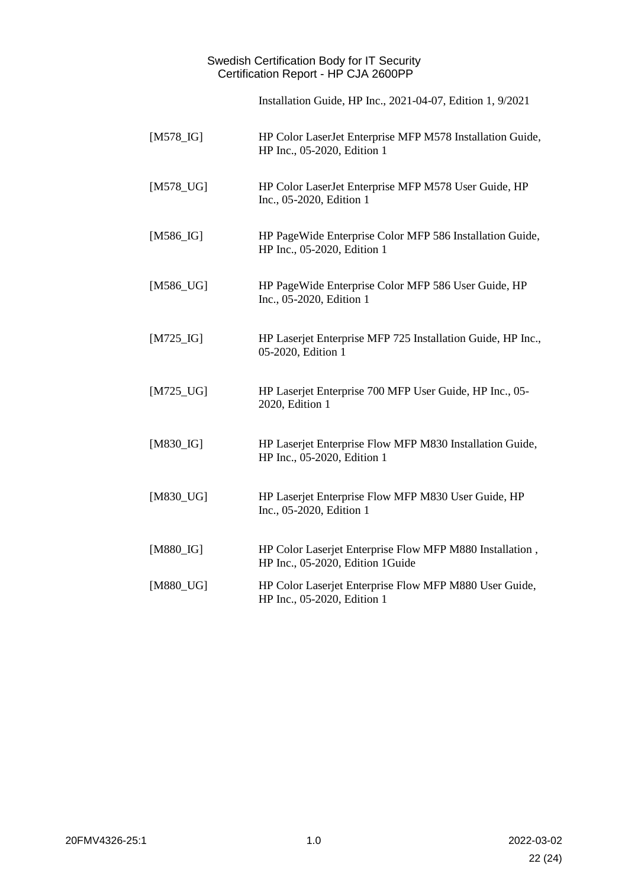Installation Guide, HP Inc., 2021-04-07, Edition 1, 9/2021

- [M578\_IG] HP Color LaserJet Enterprise MFP M578 Installation Guide, HP Inc., 05-2020, Edition 1
- [M578 UG] HP Color LaserJet Enterprise MFP M578 User Guide, HP Inc., 05-2020, Edition 1
- [M586\_IG] HP PageWide Enterprise Color MFP 586 Installation Guide, HP Inc., 05-2020, Edition 1
- [M586\_UG] HP PageWide Enterprise Color MFP 586 User Guide, HP Inc., 05-2020, Edition 1
- [M725\_IG] HP Laserjet Enterprise MFP 725 Installation Guide, HP Inc., 05-2020, Edition 1
- [M725\_UG] HP Laserjet Enterprise 700 MFP User Guide, HP Inc., 05- 2020, Edition 1
- [M830\_IG] HP Laserjet Enterprise Flow MFP M830 Installation Guide, HP Inc., 05-2020, Edition 1
- [M830\_UG] HP Laserjet Enterprise Flow MFP M830 User Guide, HP Inc., 05-2020, Edition 1
- [M880\_IG] HP Color Laserjet Enterprise Flow MFP M880 Installation , HP Inc., 05-2020, Edition 1Guide
- [M880\_UG] HP Color Laserjet Enterprise Flow MFP M880 User Guide, HP Inc., 05-2020, Edition 1